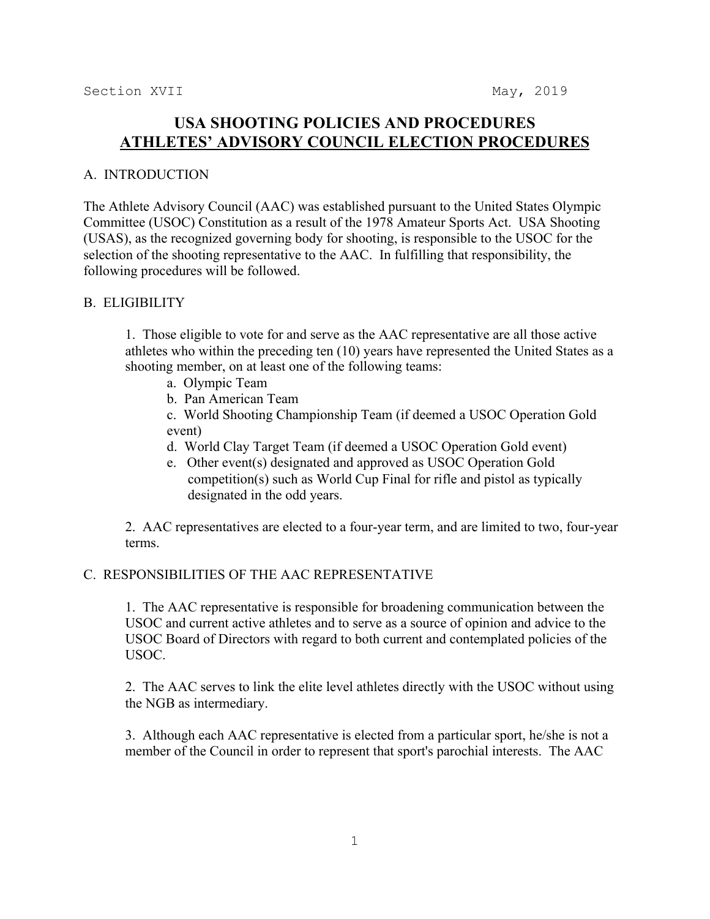# **USA SHOOTING POLICIES AND PROCEDURES ATHLETES' ADVISORY COUNCIL ELECTION PROCEDURES**

### A. INTRODUCTION

The Athlete Advisory Council (AAC) was established pursuant to the United States Olympic Committee (USOC) Constitution as a result of the 1978 Amateur Sports Act. USA Shooting (USAS), as the recognized governing body for shooting, is responsible to the USOC for the selection of the shooting representative to the AAC. In fulfilling that responsibility, the following procedures will be followed.

#### B. ELIGIBILITY

1. Those eligible to vote for and serve as the AAC representative are all those active athletes who within the preceding ten (10) years have represented the United States as a shooting member, on at least one of the following teams:

- a. Olympic Team
- b. Pan American Team

c. World Shooting Championship Team (if deemed a USOC Operation Gold event)

- d. World Clay Target Team (if deemed a USOC Operation Gold event)
- e. Other event(s) designated and approved as USOC Operation Gold competition(s) such as World Cup Final for rifle and pistol as typically designated in the odd years.

2. AAC representatives are elected to a four-year term, and are limited to two, four-year terms.

## C. RESPONSIBILITIES OF THE AAC REPRESENTATIVE

1. The AAC representative is responsible for broadening communication between the USOC and current active athletes and to serve as a source of opinion and advice to the USOC Board of Directors with regard to both current and contemplated policies of the USOC.

2. The AAC serves to link the elite level athletes directly with the USOC without using the NGB as intermediary.

3. Although each AAC representative is elected from a particular sport, he/she is not a member of the Council in order to represent that sport's parochial interests. The AAC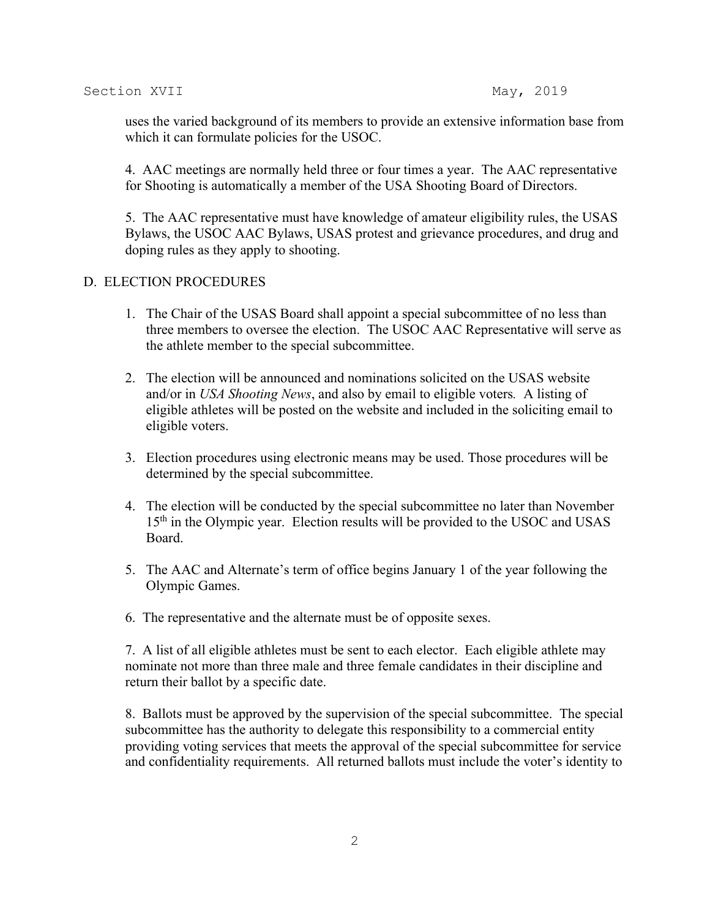uses the varied background of its members to provide an extensive information base from which it can formulate policies for the USOC.

4. AAC meetings are normally held three or four times a year. The AAC representative for Shooting is automatically a member of the USA Shooting Board of Directors.

5. The AAC representative must have knowledge of amateur eligibility rules, the USAS Bylaws, the USOC AAC Bylaws, USAS protest and grievance procedures, and drug and doping rules as they apply to shooting.

#### D. ELECTION PROCEDURES

- 1. The Chair of the USAS Board shall appoint a special subcommittee of no less than three members to oversee the election. The USOC AAC Representative will serve as the athlete member to the special subcommittee.
- 2. The election will be announced and nominations solicited on the USAS website and/or in *USA Shooting News*, and also by email to eligible voters*.* A listing of eligible athletes will be posted on the website and included in the soliciting email to eligible voters.
- 3. Election procedures using electronic means may be used. Those procedures will be determined by the special subcommittee.
- 4. The election will be conducted by the special subcommittee no later than November 15<sup>th</sup> in the Olympic year. Election results will be provided to the USOC and USAS Board.
- 5. The AAC and Alternate's term of office begins January 1 of the year following the Olympic Games.
- 6. The representative and the alternate must be of opposite sexes.

7. A list of all eligible athletes must be sent to each elector. Each eligible athlete may nominate not more than three male and three female candidates in their discipline and return their ballot by a specific date.

8. Ballots must be approved by the supervision of the special subcommittee. The special subcommittee has the authority to delegate this responsibility to a commercial entity providing voting services that meets the approval of the special subcommittee for service and confidentiality requirements. All returned ballots must include the voter's identity to